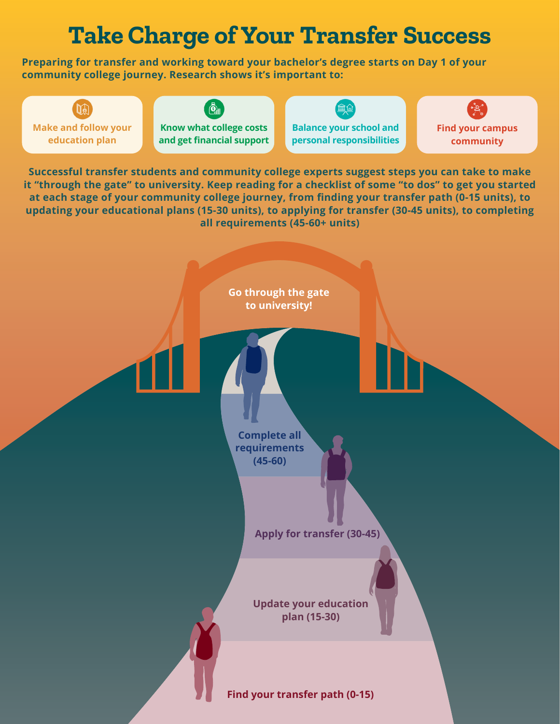# **Take Charge of Your Transfer Success**

**Preparing for transfer and working toward your bachelor's degree starts on Day 1 of your community college journey. Research shows it's important to:**

 $\mathbb{U}^{\circledast}$ **Make and follow your education plan**

 $\ddot{\mathbf{Q}}$ 

**Know what college costs and get financial support**



**Balance your school and personal responsibilities** **Find your campus community**

**Successful transfer students and community college experts suggest steps you can take to make it "through the gate" to university. Keep reading for a checklist of some "to dos" to get you started at each stage of your community college journey, from finding your transfer path (0-15 units), to updating your educational plans (15-30 units), to applying for transfer (30-45 units), to completing all requirements (45-60+ units)**

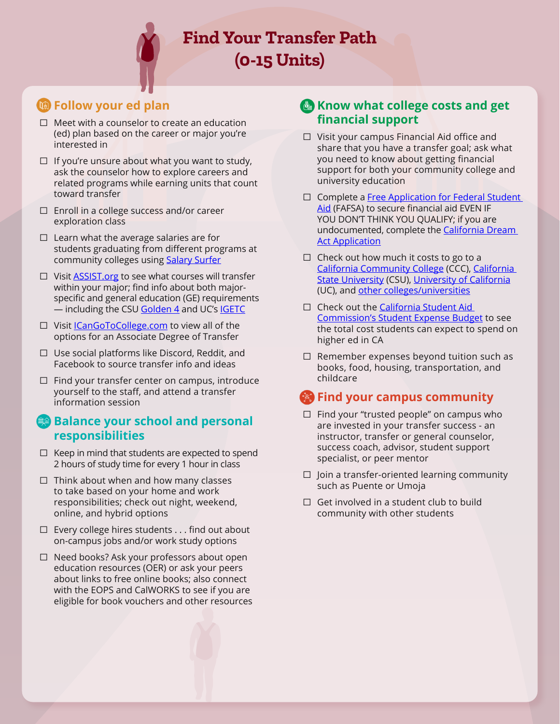**Find Your Transfer Path (0-15 Units)**

# **Follow your ed plan**

- $\Box$  Meet with a counselor to create an education (ed) plan based on the career or major you're interested in
- $\Box$  If you're unsure about what you want to study, ask the counselor how to explore careers and related programs while earning units that count toward transfer
- ☐ Enroll in a college success and/or career exploration class
- $\Box$  Learn what the average salaries are for students graduating from different programs at community colleges using [Salary Surfer](https://salarysurfer.cccco.edu/SalarySurfer.aspx)
- ☐ Visit [ASSIST.org](http://www.assist.org/) to see what courses will transfer within your major; find info about both majorspecific and general education (GE) requirements - including the CSU [Golden 4](https://www.calstate.edu/apply/transfer/Pages/upper-division-transfer.aspx#:~:text=%20To%20be%20admitted%20to%20the%20California%20State,the%20last%20college%20or%20university%20attended.%20More%20) and UC's [IGETC](https://admission.universityofcalifornia.edu/admission-requirements/transfer-requirements/preparing-to-transfer/general-education-igetc/igetc/)
- ☐ Visit [ICanGoToCollege.com](https://icangotocollege.com/) to view all of the options for an Associate Degree of Transfer
- ☐ Use social platforms like Discord, Reddit, and Facebook to source transfer info and ideas
- $\Box$  Find your transfer center on campus, introduce yourself to the staff, and attend a transfer information session

#### **Balance your school and personal responsibilities**

- $\Box$  Keep in mind that students are expected to spend 2 hours of study time for every 1 hour in class
- ☐ Think about when and how many classes to take based on your home and work responsibilities; check out night, weekend, online, and hybrid options
- $\Box$  Every college hires students . . . find out about on-campus jobs and/or work study options
- ☐ Need books? Ask your professors about open education resources (OER) or ask your peers about links to free online books; also connect with the EOPS and CalWORKS to see if you are eligible for book vouchers and other resources

# **Know what college costs and get financial support**

- ☐ Visit your campus Financial Aid office and share that you have a transfer goal; ask what you need to know about getting financial support for both your community college and university education
- □ Complete a Free Application for Federal Student [Aid](https://studentaid.gov/h/apply-for-aid/fafsa) (FAFSA) to secure financial aid EVEN IF YOU DON'T THINK YOU QUALIFY; if you are undocumented, complete the California Dream **[Act Application](https://dream.csac.ca.gov/)**
- $\Box$  Check out how much it costs to go to a [California Community College](https://www.cccco.edu/Students/Pay-for-College) (CCC), [California](https://www2.calstate.edu/attend/paying-for-college/Pages/csu-costs.aspx)  **[State University](https://www2.calstate.edu/attend/paying-for-college/Pages/csu-costs.aspx) (CSU), [University of California](https://admission.universityofcalifornia.edu/tuition-financial-aid/tuition-cost-of-attendance/)** (UC), and [other colleges/universities](https://educationdata.org/average-cost-of-college)
- □ Check out the California Student Aid [Commission's Student Expense Budget](https://www.csac.ca.gov/post/student-expense-budget) to see the total cost students can expect to spend on higher ed in CA
- ☐ Remember expenses beyond tuition such as books, food, housing, transportation, and childcare

- $\Box$  Find your "trusted people" on campus who are invested in your transfer success - an instructor, transfer or general counselor, success coach, advisor, student support specialist, or peer mentor
- $\Box$  Join a transfer-oriented learning community such as Puente or Umoja
- $\Box$  Get involved in a student club to build community with other students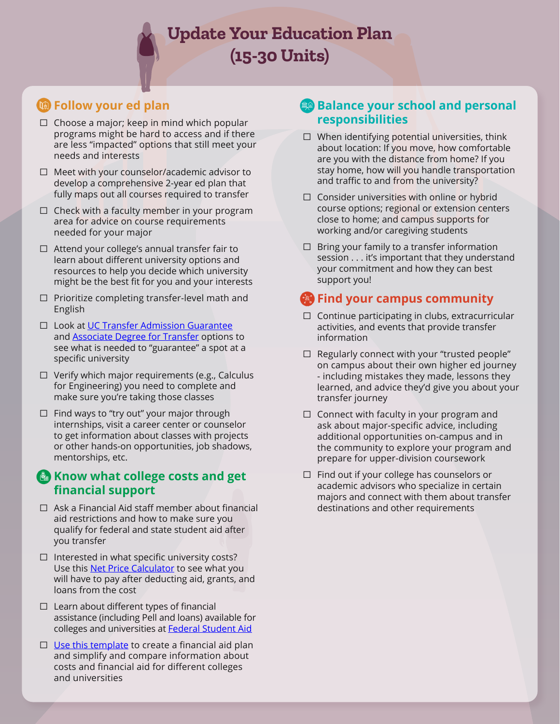**Update Your Education Plan (15-30 Units)**

# **EXECUTE:** Follow your ed plan

- $\Box$  Choose a major; keep in mind which popular programs might be hard to access and if there are less "impacted" options that still meet your needs and interests
- ☐ Meet with your counselor/academic advisor to develop a comprehensive 2-year ed plan that fully maps out all courses required to transfer
- $\Box$  Check with a faculty member in your program area for advice on course requirements needed for your major
- ☐ Attend your college's annual transfer fair to learn about different university options and resources to help you decide which university might be the best fit for you and your interests
- ☐ Prioritize completing transfer-level math and English
- □ Look at [UC Transfer Admission Guarantee](https://admission.universityofcalifornia.edu/admission-requirements/transfer-requirements/transfer-admission-guarantee-tag.html) and **Associate Degree for Transfer** options to see what is needed to "guarantee" a spot at a specific university
- ☐ Verify which major requirements (e.g., Calculus for Engineering) you need to complete and make sure you're taking those classes
- ☐ Find ways to "try out" your major through internships, visit a career center or counselor to get information about classes with projects or other hands-on opportunities, job shadows, mentorships, etc.

#### **Know what college costs and get financial support**

- ☐ Ask a Financial Aid staff member about financial aid restrictions and how to make sure you qualify for federal and state student aid after you transfer
- ☐ Interested in what specific university costs? Use this **Net Price Calculator** to see what you will have to pay after deducting aid, grants, and loans from the cost
- $\Box$  Learn about different types of financial assistance (including Pell and loans) available for colleges and universities at [Federal Student Aid](https://studentaid.gov/understand-aid/types)
- $\Box$  [Use this template](https://www2.ed.gov/policy/highered/guid/aid-offer/2021-22-anncollfinanplanungrad.pdf) to create a financial aid plan and simplify and compare information about costs and financial aid for different colleges and universities

# **Balance your school and personal responsibilities**

- ☐ When identifying potential universities, think about location: If you move, how comfortable are you with the distance from home? If you stay home, how will you handle transportation and traffic to and from the university?
- ☐ Consider universities with online or hybrid course options; regional or extension centers close to home; and campus supports for working and/or caregiving students
- $\Box$  Bring your family to a transfer information session . . . it's important that they understand your commitment and how they can best support you!

- ☐ Continue participating in clubs, extracurricular activities, and events that provide transfer information
- $\Box$  Regularly connect with your "trusted people" on campus about their own higher ed journey - including mistakes they made, lessons they learned, and advice they'd give you about your transfer journey
- $\Box$  Connect with faculty in your program and ask about major-specific advice, including additional opportunities on-campus and in the community to explore your program and prepare for upper-division coursework
- ☐ Find out if your college has counselors or academic advisors who specialize in certain majors and connect with them about transfer destinations and other requirements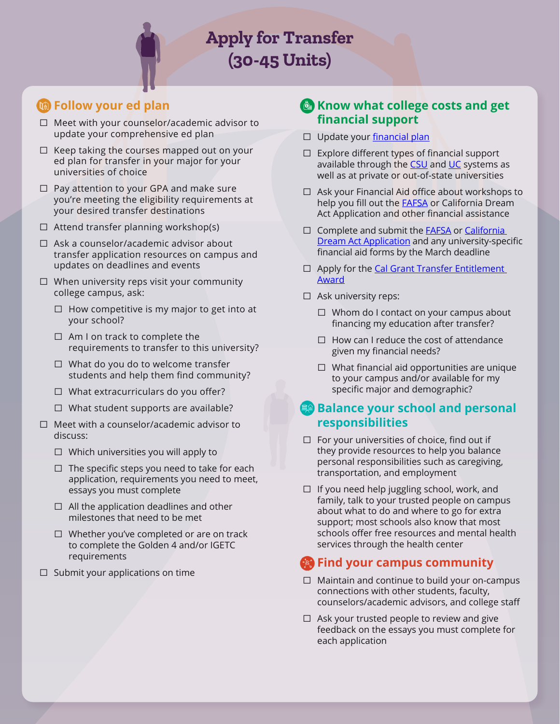**Apply for Transfer (30-45 Units)**

# *C* Follow your ed plan

- ☐ Meet with your counselor/academic advisor to update your comprehensive ed plan
- ☐ Keep taking the courses mapped out on your ed plan for transfer in your major for your universities of choice
- ☐ Pay attention to your GPA and make sure you're meeting the eligibility requirements at your desired transfer destinations
- $\Box$  Attend transfer planning workshop(s)
- ☐ Ask a counselor/academic advisor about transfer application resources on campus and updates on deadlines and events
- ☐ When university reps visit your community college campus, ask:
	- ☐ How competitive is my major to get into at your school?
	- ☐ Am I on track to complete the requirements to transfer to this university?
	- $\Box$  What do you do to welcome transfer students and help them find community?
	- ☐ What extracurriculars do you offer?
	- ☐ What student supports are available?
- ☐ Meet with a counselor/academic advisor to discuss:
	- ☐ Which universities you will apply to
	- $\Box$  The specific steps you need to take for each application, requirements you need to meet, essays you must complete
	- $\Box$  All the application deadlines and other milestones that need to be met
	- ☐ Whether you've completed or are on track to complete the Golden 4 and/or IGETC requirements
- $\Box$  Submit your applications on time

#### **Know what college costs and get financial support**

- □ Update your [financial plan](https://www2.ed.gov/policy/highered/guid/aid-offer/2021-22-anncollfinanplanungrad.pdf)
- ☐ Explore different types of financial support available through the [CSU](https://www2.calstate.edu/attend/paying-for-college/financial-aid/types/Pages/default.aspx) and [UC](https://admission.universityofcalifornia.edu/tuition-financial-aid/types-of-aid/) systems as well as at private or out-of-state universities
- ☐ Ask your Financial Aid office about workshops to help you fill out the **[FAFSA](https://studentaid.gov/h/apply-for-aid/fafsa)** or California Dream Act Application and other financial assistance
- □ Complete and submit the **FAFSA** or California [Dream Act Application](https://dream.csac.ca.gov/) and any university-specific financial aid forms by the March deadline
- □ Apply for the Cal Grant Transfer Entitlement **[Award](https://www.csac.ca.gov/post/cal-grant-transfer-entitlement-award)**
- □ Ask university reps:
	- $\Box$  Whom do I contact on your campus about financing my education after transfer?
	- $\Box$  How can I reduce the cost of attendance given my financial needs?
	- ☐ What financial aid opportunities are unique to your campus and/or available for my specific major and demographic?

#### **Balance your school and personal responsibilities**

- ☐ For your universities of choice, find out if they provide resources to help you balance personal responsibilities such as caregiving, transportation, and employment
- ☐ If you need help juggling school, work, and family, talk to your trusted people on campus about what to do and where to go for extra support; most schools also know that most schools offer free resources and mental health services through the health center

- ☐ Maintain and continue to build your on-campus connections with other students, faculty, counselors/academic advisors, and college staff
- ☐ Ask your trusted people to review and give feedback on the essays you must complete for each application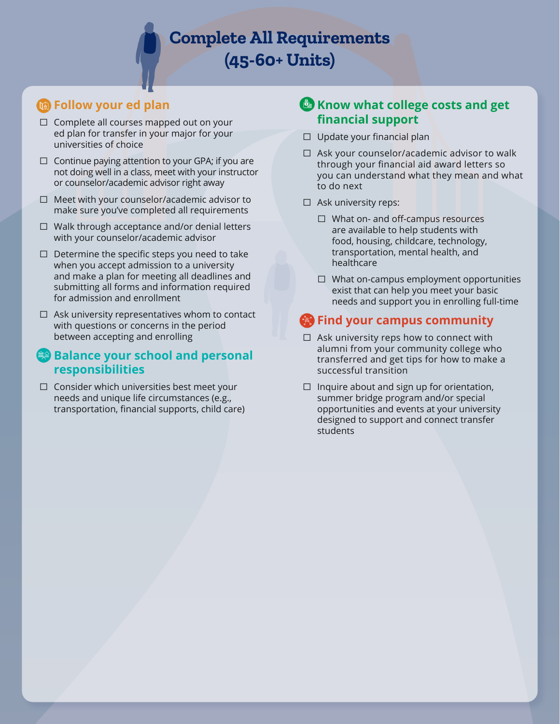**Complete All Requirements (45-60+ Units)**

# *C* Follow your ed plan

- $\Box$  Complete all courses mapped out on your ed plan for transfer in your major for your universities of choice
- $\Box$  Continue paying attention to your GPA; if you are not doing well in a class, meet with your instructor or counselor/academic advisor right away
- ☐ Meet with your counselor/academic advisor to make sure you've completed all requirements
- ☐ Walk through acceptance and/or denial letters with your counselor/academic advisor
- $\Box$  Determine the specific steps you need to take when you accept admission to a university and make a plan for meeting all deadlines and submitting all forms and information required for admission and enrollment
- $\Box$  Ask university representatives whom to contact with questions or concerns in the period between accepting and enrolling
- **Balance your school and personal responsibilities**
- ☐ Consider which universities best meet your needs and unique life circumstances (e.g., transportation, financial supports, child care)

# **Know what college costs and get financial support**

- $\Box$  Update your financial plan
- $\Box$  Ask your counselor/academic advisor to walk through your financial aid award letters so you can understand what they mean and what to do next
- □ Ask university reps:
	- ☐ What on- and off-campus resources are available to help students with food, housing, childcare, technology, transportation, mental health, and healthcare
	- ☐ What on-campus employment opportunities exist that can help you meet your basic needs and support you in enrolling full-time

- ☐ Ask university reps how to connect with alumni from your community college who transferred and get tips for how to make a successful transition
- $\Box$  Inquire about and sign up for orientation, summer bridge program and/or special opportunities and events at your university designed to support and connect transfer students